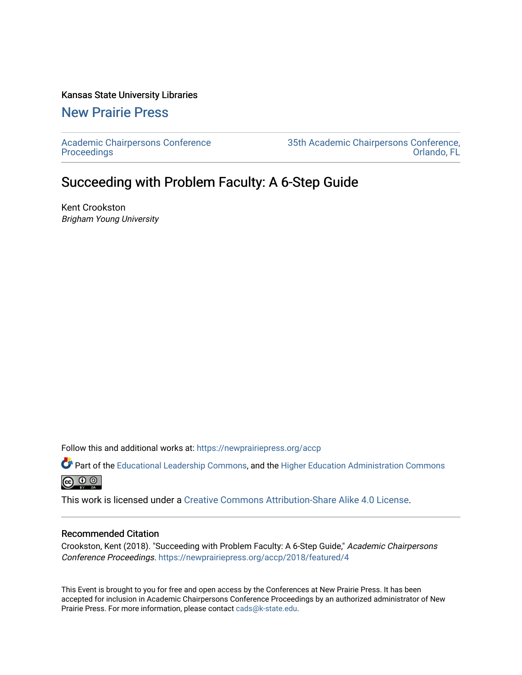#### Kansas State University Libraries

## [New Prairie Press](https://newprairiepress.org/)

[Academic Chairpersons Conference](https://newprairiepress.org/accp)  **Proceedings** 

[35th Academic Chairpersons Conference,](https://newprairiepress.org/accp/2018)  [Orlando, FL](https://newprairiepress.org/accp/2018) 

# Succeeding with Problem Faculty: A 6-Step Guide

Kent Crookston Brigham Young University

Follow this and additional works at: [https://newprairiepress.org/accp](https://newprairiepress.org/accp?utm_source=newprairiepress.org%2Faccp%2F2018%2Ffeatured%2F4&utm_medium=PDF&utm_campaign=PDFCoverPages) 

Part of the [Educational Leadership Commons,](http://network.bepress.com/hgg/discipline/1230?utm_source=newprairiepress.org%2Faccp%2F2018%2Ffeatured%2F4&utm_medium=PDF&utm_campaign=PDFCoverPages) and the [Higher Education Administration Commons](http://network.bepress.com/hgg/discipline/791?utm_source=newprairiepress.org%2Faccp%2F2018%2Ffeatured%2F4&utm_medium=PDF&utm_campaign=PDFCoverPages)  $\circledcirc$ 

This work is licensed under a [Creative Commons Attribution-Share Alike 4.0 License.](https://creativecommons.org/licenses/by-sa/4.0/)

#### Recommended Citation

Crookston, Kent (2018). "Succeeding with Problem Faculty: A 6-Step Guide," Academic Chairpersons Conference Proceedings.<https://newprairiepress.org/accp/2018/featured/4>

This Event is brought to you for free and open access by the Conferences at New Prairie Press. It has been accepted for inclusion in Academic Chairpersons Conference Proceedings by an authorized administrator of New Prairie Press. For more information, please contact [cads@k-state.edu.](mailto:cads@k-state.edu)